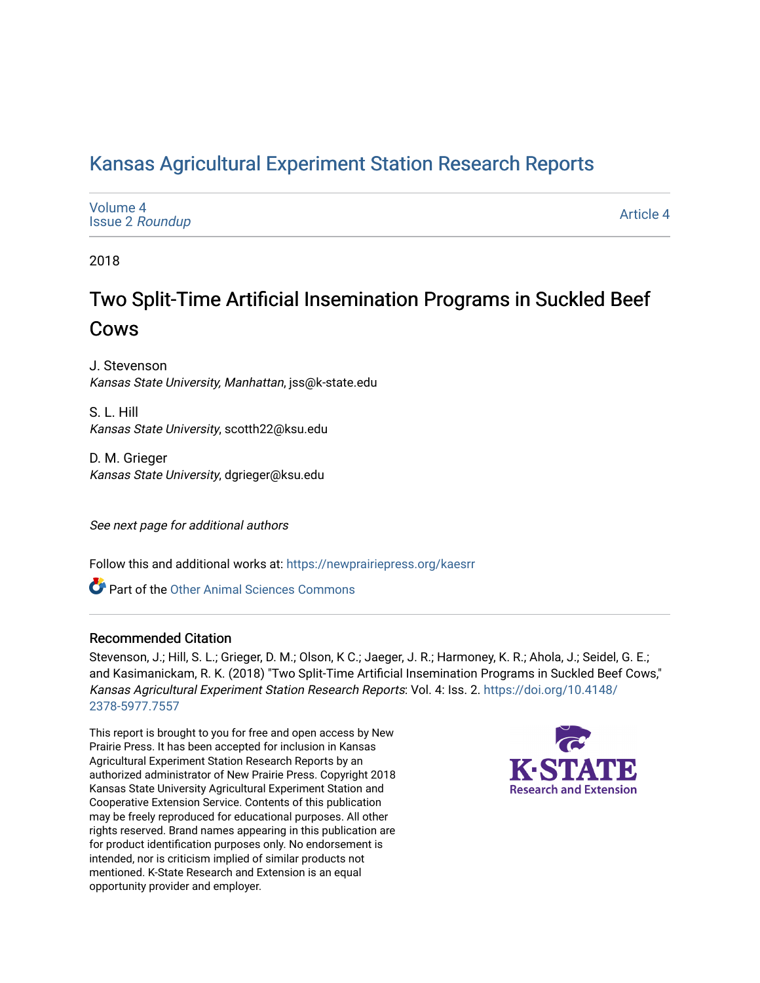### [Kansas Agricultural Experiment Station Research Reports](https://newprairiepress.org/kaesrr)

| Volume 4<br><b>Issue 2 Roundup</b> | Article 4 |
|------------------------------------|-----------|
|------------------------------------|-----------|

2018

## Two Split-Time Artificial Insemination Programs in Suckled Beef Cows

J. Stevenson Kansas State University, Manhattan, jss@k-state.edu

S. L. Hill Kansas State University, scotth22@ksu.edu

D. M. Grieger Kansas State University, dgrieger@ksu.edu

See next page for additional authors

Follow this and additional works at: [https://newprairiepress.org/kaesrr](https://newprairiepress.org/kaesrr?utm_source=newprairiepress.org%2Fkaesrr%2Fvol4%2Fiss2%2F4&utm_medium=PDF&utm_campaign=PDFCoverPages) 

**C** Part of the [Other Animal Sciences Commons](http://network.bepress.com/hgg/discipline/82?utm_source=newprairiepress.org%2Fkaesrr%2Fvol4%2Fiss2%2F4&utm_medium=PDF&utm_campaign=PDFCoverPages)

### Recommended Citation

Stevenson, J.; Hill, S. L.; Grieger, D. M.; Olson, K C.; Jaeger, J. R.; Harmoney, K. R.; Ahola, J.; Seidel, G. E.; and Kasimanickam, R. K. (2018) "Two Split-Time Artificial Insemination Programs in Suckled Beef Cows," Kansas Agricultural Experiment Station Research Reports: Vol. 4: Iss. 2. [https://doi.org/10.4148/](https://doi.org/10.4148/2378-5977.7557) [2378-5977.7557](https://doi.org/10.4148/2378-5977.7557) 

This report is brought to you for free and open access by New Prairie Press. It has been accepted for inclusion in Kansas Agricultural Experiment Station Research Reports by an authorized administrator of New Prairie Press. Copyright 2018 Kansas State University Agricultural Experiment Station and Cooperative Extension Service. Contents of this publication may be freely reproduced for educational purposes. All other rights reserved. Brand names appearing in this publication are for product identification purposes only. No endorsement is intended, nor is criticism implied of similar products not mentioned. K-State Research and Extension is an equal opportunity provider and employer.

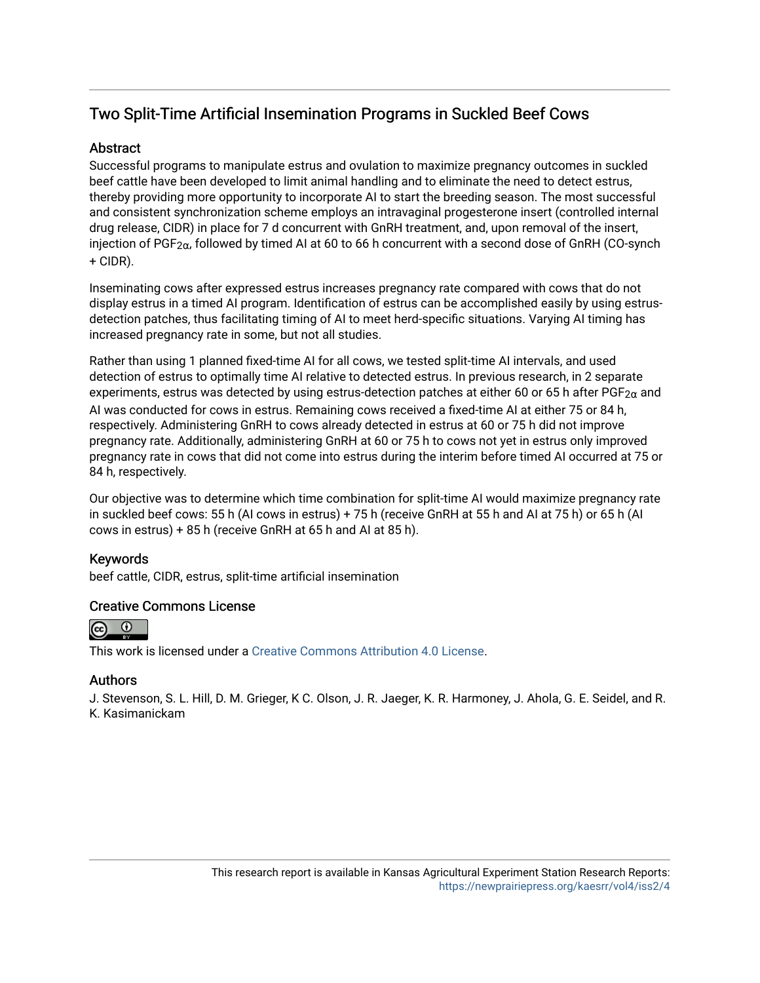### Two Split-Time Artificial Insemination Programs in Suckled Beef Cows

### **Abstract**

Successful programs to manipulate estrus and ovulation to maximize pregnancy outcomes in suckled beef cattle have been developed to limit animal handling and to eliminate the need to detect estrus, thereby providing more opportunity to incorporate AI to start the breeding season. The most successful and consistent synchronization scheme employs an intravaginal progesterone insert (controlled internal drug release, CIDR) in place for 7 d concurrent with GnRH treatment, and, upon removal of the insert, injection of PGF<sub>2 $\alpha$ </sub>, followed by timed AI at 60 to 66 h concurrent with a second dose of GnRH (CO-synch + CIDR).

Inseminating cows after expressed estrus increases pregnancy rate compared with cows that do not display estrus in a timed AI program. Identification of estrus can be accomplished easily by using estrusdetection patches, thus facilitating timing of AI to meet herd-specific situations. Varying AI timing has increased pregnancy rate in some, but not all studies.

Rather than using 1 planned fixed-time AI for all cows, we tested split-time AI intervals, and used detection of estrus to optimally time AI relative to detected estrus. In previous research, in 2 separate experiments, estrus was detected by using estrus-detection patches at either 60 or 65 h after PGF<sub>2 $\alpha$ </sub> and AI was conducted for cows in estrus. Remaining cows received a fixed-time AI at either 75 or 84 h, respectively. Administering GnRH to cows already detected in estrus at 60 or 75 h did not improve pregnancy rate. Additionally, administering GnRH at 60 or 75 h to cows not yet in estrus only improved pregnancy rate in cows that did not come into estrus during the interim before timed AI occurred at 75 or 84 h, respectively.

Our objective was to determine which time combination for split-time AI would maximize pregnancy rate in suckled beef cows: 55 h (AI cows in estrus) + 75 h (receive GnRH at 55 h and AI at 75 h) or 65 h (AI cows in estrus) + 85 h (receive GnRH at 65 h and AI at 85 h).

### Keywords

beef cattle, CIDR, estrus, split-time artificial insemination

### Creative Commons License



This work is licensed under a [Creative Commons Attribution 4.0 License](https://creativecommons.org/licenses/by/4.0/).

### Authors

J. Stevenson, S. L. Hill, D. M. Grieger, K C. Olson, J. R. Jaeger, K. R. Harmoney, J. Ahola, G. E. Seidel, and R. K. Kasimanickam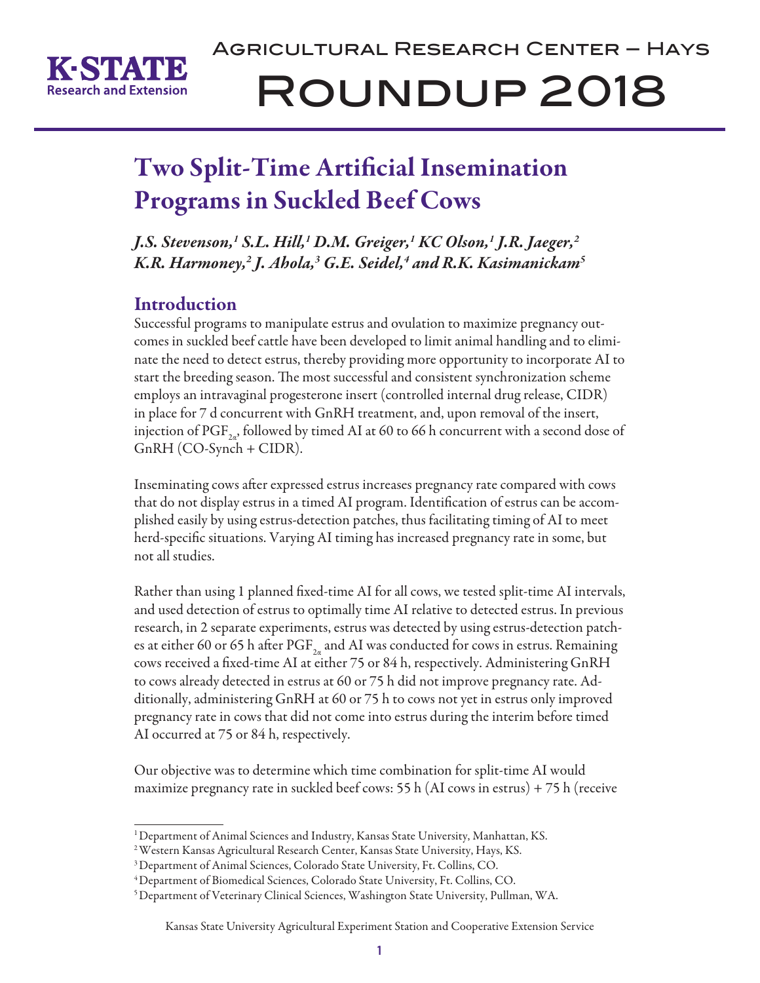

# Agricultural Research Center – Hays Roundup 2018

# Two Split-Time Artificial Insemination Programs in Suckled Beef Cows

*J.S. Stevenson,1 S.L. Hill,1 D.M. Greiger,1 KC Olson,1 J.R. Jaeger,2 K.R. Harmoney,2 J. Ahola,3 G.E. Seidel,4 and R.K. Kasimanickam5*

### **Introduction**

Successful programs to manipulate estrus and ovulation to maximize pregnancy outcomes in suckled beef cattle have been developed to limit animal handling and to eliminate the need to detect estrus, thereby providing more opportunity to incorporate AI to start the breeding season. The most successful and consistent synchronization scheme employs an intravaginal progesterone insert (controlled internal drug release, CIDR) in place for 7 d concurrent with GnRH treatment, and, upon removal of the insert, injection of PGF<sub>2a</sub>, followed by timed AI at 60 to 66 h concurrent with a second dose of GnRH (CO-Synch + CIDR).

Inseminating cows after expressed estrus increases pregnancy rate compared with cows that do not display estrus in a timed AI program. Identification of estrus can be accomplished easily by using estrus-detection patches, thus facilitating timing of AI to meet herd-specific situations. Varying AI timing has increased pregnancy rate in some, but not all studies.

Rather than using 1 planned fixed-time AI for all cows, we tested split-time AI intervals, and used detection of estrus to optimally time AI relative to detected estrus. In previous research, in 2 separate experiments, estrus was detected by using estrus-detection patches at either 60 or 65 h after  $\mathrm{PGF}_{2a}$  and AI was conducted for cows in estrus. Remaining cows received a fixed-time AI at either 75 or 84 h, respectively. Administering GnRH to cows already detected in estrus at 60 or 75 h did not improve pregnancy rate. Additionally, administering GnRH at 60 or 75 h to cows not yet in estrus only improved pregnancy rate in cows that did not come into estrus during the interim before timed AI occurred at 75 or 84 h, respectively.

Our objective was to determine which time combination for split-time AI would maximize pregnancy rate in suckled beef cows: 55 h (AI cows in estrus) + 75 h (receive

<sup>1</sup> Department of Animal Sciences and Industry, Kansas State University, Manhattan, KS.

<sup>2</sup> Western Kansas Agricultural Research Center, Kansas State University, Hays, KS.

<sup>3</sup> Department of Animal Sciences, Colorado State University, Ft. Collins, CO.

<sup>4</sup> Department of Biomedical Sciences, Colorado State University, Ft. Collins, CO.

<sup>5</sup> Department of Veterinary Clinical Sciences, Washington State University, Pullman, WA.

Kansas State University Agricultural Experiment Station and Cooperative Extension Service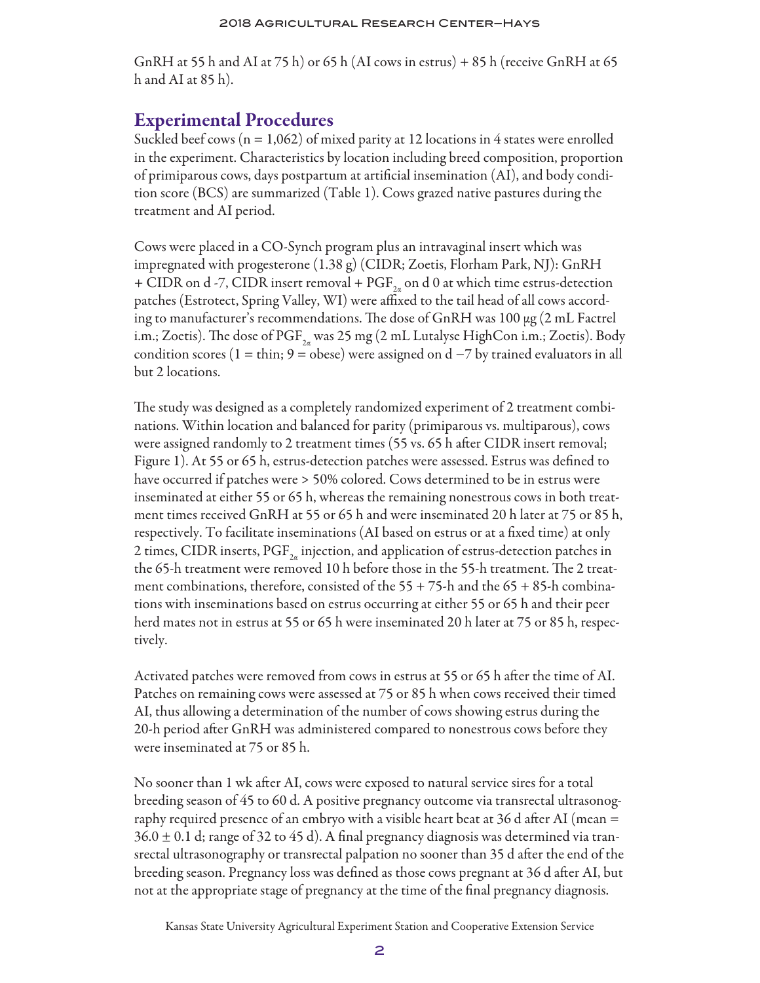GnRH at 55 h and AI at 75 h) or 65 h (AI cows in estrus) + 85 h (receive GnRH at 65 h and AI at 85 h).

### Experimental Procedures

Suckled beef cows  $(n = 1,062)$  of mixed parity at 12 locations in 4 states were enrolled in the experiment. Characteristics by location including breed composition, proportion of primiparous cows, days postpartum at artificial insemination (AI), and body condition score (BCS) are summarized (Table 1). Cows grazed native pastures during the treatment and AI period.

Cows were placed in a CO-Synch program plus an intravaginal insert which was impregnated with progesterone (1.38 g) (CIDR; Zoetis, Florham Park, NJ): GnRH + CIDR on d -7, CIDR insert removal + PGF<sub>2a</sub> on d 0 at which time estrus-detection patches (Estrotect, Spring Valley, WI) were affixed to the tail head of all cows according to manufacturer's recommendations. The dose of GnRH was 100 μg (2 mL Factrel i.m.; Zoetis). The dose of  $\mathrm{PGF}_{2n}$  was 25 mg (2 mL Lutalyse HighCon i.m.; Zoetis). Body condition scores (1 = thin; 9 = obese) were assigned on  $d - 7$  by trained evaluators in all but 2 locations.

The study was designed as a completely randomized experiment of 2 treatment combinations. Within location and balanced for parity (primiparous vs. multiparous), cows were assigned randomly to 2 treatment times (55 vs. 65 h after CIDR insert removal; Figure 1). At 55 or 65 h, estrus-detection patches were assessed. Estrus was defined to have occurred if patches were > 50% colored. Cows determined to be in estrus were inseminated at either 55 or 65 h, whereas the remaining nonestrous cows in both treatment times received GnRH at 55 or 65 h and were inseminated 20 h later at 75 or 85 h, respectively. To facilitate inseminations (AI based on estrus or at a fixed time) at only 2 times, CIDR inserts,  $\text{PGF}_{2a}$  injection, and application of estrus-detection patches in the 65-h treatment were removed 10 h before those in the 55-h treatment. The 2 treatment combinations, therefore, consisted of the  $55 + 75$ -h and the  $65 + 85$ -h combinations with inseminations based on estrus occurring at either 55 or 65 h and their peer herd mates not in estrus at 55 or 65 h were inseminated 20 h later at 75 or 85 h, respectively.

Activated patches were removed from cows in estrus at 55 or 65 h after the time of AI. Patches on remaining cows were assessed at 75 or 85 h when cows received their timed AI, thus allowing a determination of the number of cows showing estrus during the 20-h period after GnRH was administered compared to nonestrous cows before they were inseminated at 75 or 85 h.

No sooner than 1 wk after AI, cows were exposed to natural service sires for a total breeding season of 45 to 60 d. A positive pregnancy outcome via transrectal ultrasonography required presence of an embryo with a visible heart beat at 36 d after AI (mean =  $36.0 \pm 0.1$  d; range of 32 to 45 d). A final pregnancy diagnosis was determined via transrectal ultrasonography or transrectal palpation no sooner than 35 d after the end of the breeding season. Pregnancy loss was defined as those cows pregnant at 36 d after AI, but not at the appropriate stage of pregnancy at the time of the final pregnancy diagnosis.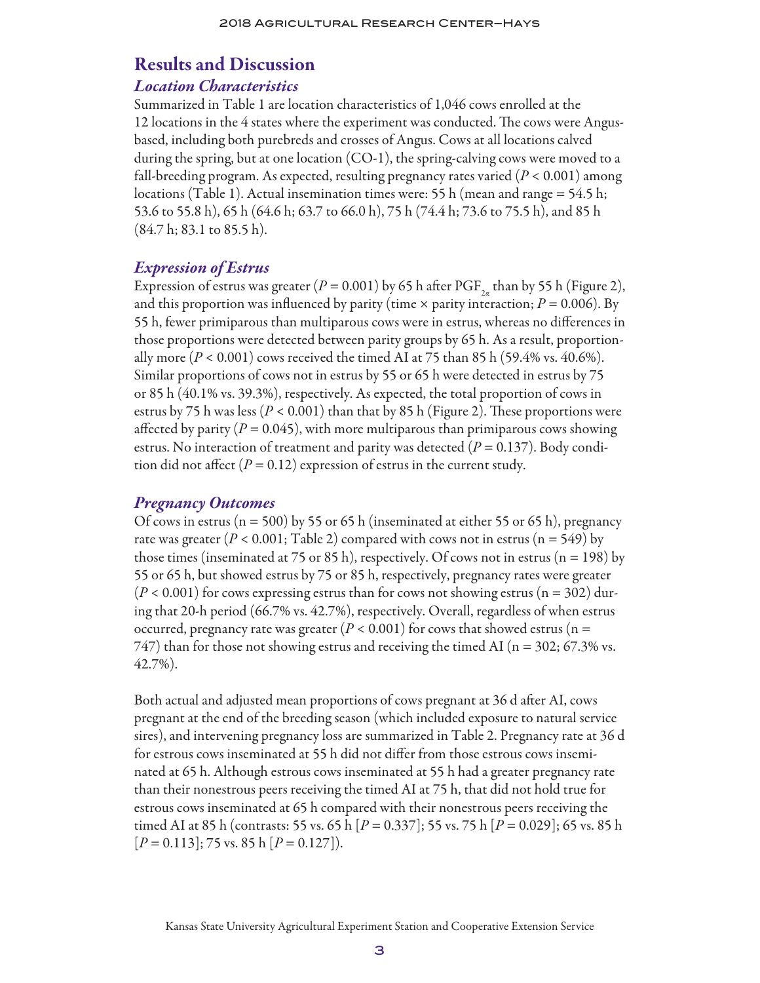### Results and Discussion

### *Location Characteristics*

Summarized in Table 1 are location characteristics of 1,046 cows enrolled at the 12 locations in the 4 states where the experiment was conducted. The cows were Angusbased, including both purebreds and crosses of Angus. Cows at all locations calved during the spring, but at one location (CO-1), the spring-calving cows were moved to a fall-breeding program. As expected, resulting pregnancy rates varied (*P* < 0.001) among locations (Table 1). Actual insemination times were: 55 h (mean and range = 54.5 h; 53.6 to 55.8 h), 65 h (64.6 h; 63.7 to 66.0 h), 75 h (74.4 h; 73.6 to 75.5 h), and 85 h (84.7 h; 83.1 to 85.5 h).

### *Expression of Estrus*

Expression of estrus was greater  $(P = 0.001)$  by 65 h after PGF<sub>24</sub> than by 55 h (Figure 2), and this proportion was influenced by parity (time  $\times$  parity interaction;  $P = 0.006$ ). By 55 h, fewer primiparous than multiparous cows were in estrus, whereas no differences in those proportions were detected between parity groups by 65 h. As a result, proportionally more  $(P < 0.001)$  cows received the timed AI at 75 than 85 h (59.4% vs. 40.6%). Similar proportions of cows not in estrus by 55 or 65 h were detected in estrus by 75 or 85 h (40.1% vs. 39.3%), respectively. As expected, the total proportion of cows in estrus by 75 h was less ( $P < 0.001$ ) than that by 85 h (Figure 2). These proportions were affected by parity  $(P = 0.045)$ , with more multiparous than primiparous cows showing estrus. No interaction of treatment and parity was detected (*P* = 0.137). Body condition did not affect  $(P = 0.12)$  expression of estrus in the current study.

### *Pregnancy Outcomes*

Of cows in estrus ( $n = 500$ ) by 55 or 65 h (inseminated at either 55 or 65 h), pregnancy rate was greater ( $P < 0.001$ ; Table 2) compared with cows not in estrus ( $n = 549$ ) by those times (inseminated at 75 or 85 h), respectively. Of cows not in estrus ( $n = 198$ ) by 55 or 65 h, but showed estrus by 75 or 85 h, respectively, pregnancy rates were greater  $(P < 0.001)$  for cows expressing estrus than for cows not showing estrus ( $n = 302$ ) during that 20-h period (66.7% vs. 42.7%), respectively. Overall, regardless of when estrus occurred, pregnancy rate was greater  $(P < 0.001)$  for cows that showed estrus (n =  $747$ ) than for those not showing estrus and receiving the timed AI ( $n = 302$ ; 67.3% vs. 42.7%).

Both actual and adjusted mean proportions of cows pregnant at 36 d after AI, cows pregnant at the end of the breeding season (which included exposure to natural service sires), and intervening pregnancy loss are summarized in Table 2. Pregnancy rate at 36 d for estrous cows inseminated at 55 h did not differ from those estrous cows inseminated at 65 h. Although estrous cows inseminated at 55 h had a greater pregnancy rate than their nonestrous peers receiving the timed AI at 75 h, that did not hold true for estrous cows inseminated at 65 h compared with their nonestrous peers receiving the timed AI at 85 h (contrasts: 55 vs. 65 h [*P* = 0.337]; 55 vs. 75 h [*P* = 0.029]; 65 vs. 85 h [*P* = 0.113]; 75 vs. 85 h [*P* = 0.127]).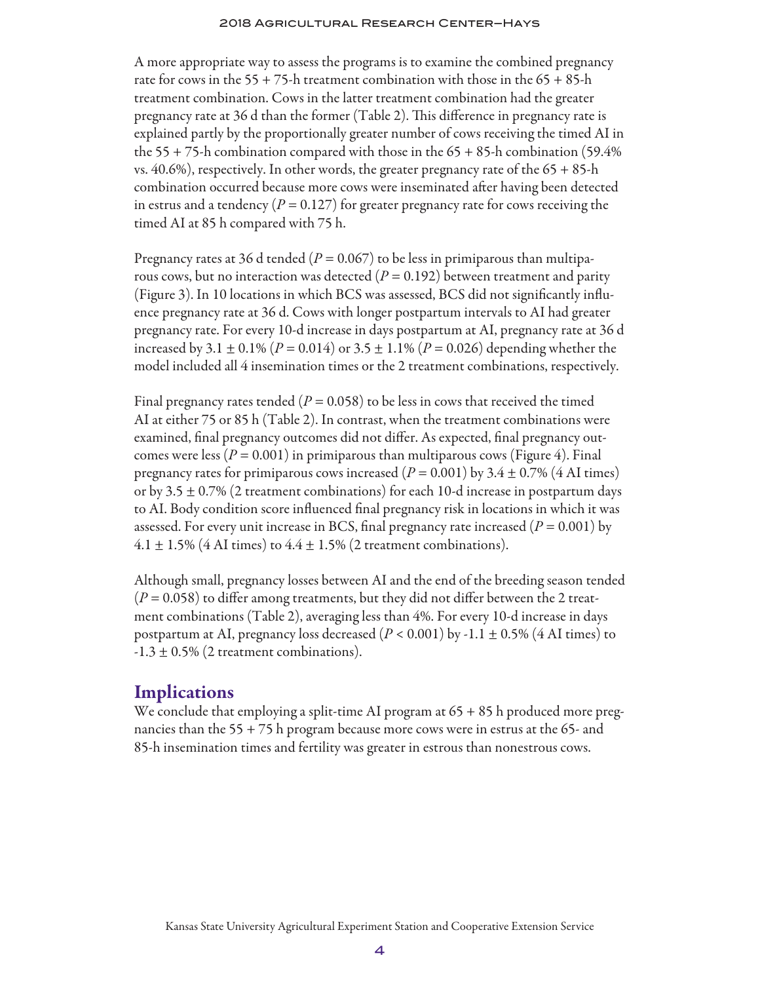A more appropriate way to assess the programs is to examine the combined pregnancy rate for cows in the 55 + 75-h treatment combination with those in the  $65 + 85$ -h treatment combination. Cows in the latter treatment combination had the greater pregnancy rate at 36 d than the former (Table 2). This difference in pregnancy rate is explained partly by the proportionally greater number of cows receiving the timed AI in the 55 + 75-h combination compared with those in the 65 + 85-h combination (59.4% vs. 40.6%), respectively. In other words, the greater pregnancy rate of the 65 + 85-h combination occurred because more cows were inseminated after having been detected in estrus and a tendency  $(P = 0.127)$  for greater pregnancy rate for cows receiving the timed AI at 85 h compared with 75 h.

Pregnancy rates at 36 d tended ( $P = 0.067$ ) to be less in primiparous than multiparous cows, but no interaction was detected  $(P = 0.192)$  between treatment and parity (Figure 3). In 10 locations in which BCS was assessed, BCS did not significantly influence pregnancy rate at 36 d. Cows with longer postpartum intervals to AI had greater pregnancy rate. For every 10-d increase in days postpartum at AI, pregnancy rate at 36 d increased by 3.1  $\pm$  0.1% (*P* = 0.014) or 3.5  $\pm$  1.1% (*P* = 0.026) depending whether the model included all 4 insemination times or the 2 treatment combinations, respectively.

Final pregnancy rates tended ( $P = 0.058$ ) to be less in cows that received the timed AI at either 75 or 85 h (Table 2). In contrast, when the treatment combinations were examined, final pregnancy outcomes did not differ. As expected, final pregnancy outcomes were less  $(P = 0.001)$  in primiparous than multiparous cows (Figure 4). Final pregnancy rates for primiparous cows increased  $(P = 0.001)$  by 3.4  $\pm$  0.7% (4 AI times) or by 3.5  $\pm$  0.7% (2 treatment combinations) for each 10-d increase in postpartum days to AI. Body condition score influenced final pregnancy risk in locations in which it was assessed. For every unit increase in BCS, final pregnancy rate increased  $(P = 0.001)$  by  $4.1 \pm 1.5\%$  (4 AI times) to  $4.4 \pm 1.5\%$  (2 treatment combinations).

Although small, pregnancy losses between AI and the end of the breeding season tended  $(P = 0.058)$  to differ among treatments, but they did not differ between the 2 treatment combinations (Table 2), averaging less than 4%. For every 10-d increase in days postpartum at AI, pregnancy loss decreased  $(P < 0.001)$  by -1.1  $\pm$  0.5% (4 AI times) to  $-1.3 \pm 0.5\%$  (2 treatment combinations).

### **Implications**

We conclude that employing a split-time AI program at 65 + 85 h produced more pregnancies than the 55 + 75 h program because more cows were in estrus at the 65- and 85-h insemination times and fertility was greater in estrous than nonestrous cows.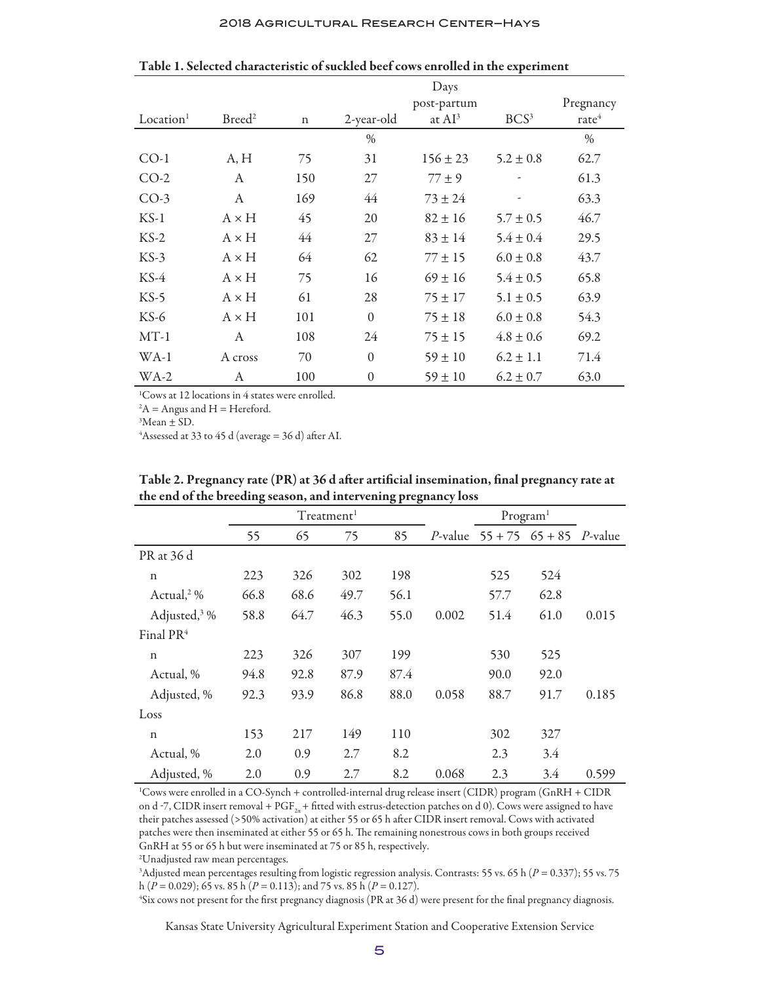#### 2018 Agricultural Research Center–Hays

|                       |                    | Days        |              |              |                  |                 |
|-----------------------|--------------------|-------------|--------------|--------------|------------------|-----------------|
|                       |                    |             |              | post-partum  |                  | Pregnancy       |
| Location <sup>1</sup> | Breed <sup>2</sup> | $\mathbf n$ | 2-year-old   | at $AI^3$    | BCS <sup>3</sup> | $\text{rate}^4$ |
|                       |                    |             | $\%$         |              |                  | $\%$            |
| $CO-1$                | A, H               | 75          | 31           | $156 \pm 23$ | $5.2 \pm 0.8$    | 62.7            |
| $CO-2$                | A                  | 150         | 27           | $77 \pm 9$   |                  | 61.3            |
| $CO-3$                | A                  | 169         | 44           | $73 \pm 24$  | -                | 63.3            |
| $KS-1$                | $A \times H$       | 45          | 20           | $82 \pm 16$  | $5.7 \pm 0.5$    | 46.7            |
| $KS-2$                | $A \times H$       | 44          | 27           | $83 \pm 14$  | $5.4 \pm 0.4$    | 29.5            |
| $KS-3$                | $A \times H$       | 64          | 62           | $77 \pm 15$  | $6.0 \pm 0.8$    | 43.7            |
| $KS-4$                | $A \times H$       | 75          | 16           | $69 \pm 16$  | $5.4 \pm 0.5$    | 65.8            |
| $KS-5$                | $A \times H$       | 61          | 28           | $75 \pm 17$  | $5.1 \pm 0.5$    | 63.9            |
| $KS-6$                | $A \times H$       | 101         | $\mathbf{0}$ | $75 \pm 18$  | $6.0 \pm 0.8$    | 54.3            |
| $MT-1$                | A                  | 108         | 24           | $75 \pm 15$  | $4.8 \pm 0.6$    | 69.2            |
| $WA-1$                | A cross            | 70          | $\mathbf{0}$ | $59 \pm 10$  | $6.2 \pm 1.1$    | 71.4            |
| WA-2                  | А                  | 100         | $\theta$     | $59 \pm 10$  | $6.2 \pm 0.7$    | 63.0            |

Table 1. Selected characteristic of suckled beef cows enrolled in the experiment

1 Cows at 12 locations in 4 states were enrolled.

 $A =$  Angus and H = Hereford.

 ${}^{3}$ Mean  $\pm$  SD.

<sup>4</sup>Assessed at 33 to 45 d (average = 36 d) after AI.

|                          | Treatment <sup>1</sup> |      |      |      |       | Program <sup>1</sup> |                                                     |       |
|--------------------------|------------------------|------|------|------|-------|----------------------|-----------------------------------------------------|-------|
|                          | 55                     | 65   | 75   | 85   |       |                      | <i>P</i> -value $55 + 75$ $65 + 85$ <i>P</i> -value |       |
| PR at 36 d               |                        |      |      |      |       |                      |                                                     |       |
| $\mathbf n$              | 223                    | 326  | 302  | 198  |       | 525                  | 524                                                 |       |
| Actual, <sup>2</sup> %   | 66.8                   | 68.6 | 49.7 | 56.1 |       | 57.7                 | 62.8                                                |       |
| Adjusted, <sup>3</sup> % | 58.8                   | 64.7 | 46.3 | 55.0 | 0.002 | 51.4                 | 61.0                                                | 0.015 |
| Final PR <sup>4</sup>    |                        |      |      |      |       |                      |                                                     |       |
| $\mathbf n$              | 223                    | 326  | 307  | 199  |       | 530                  | 525                                                 |       |
| Actual, %                | 94.8                   | 92.8 | 87.9 | 87.4 |       | 90.0                 | 92.0                                                |       |
| Adjusted, %              | 92.3                   | 93.9 | 86.8 | 88.0 | 0.058 | 88.7                 | 91.7                                                | 0.185 |
| Loss                     |                        |      |      |      |       |                      |                                                     |       |
| $\mathbf n$              | 153                    | 217  | 149  | 110  |       | 302                  | 327                                                 |       |
| Actual, %                | 2.0                    | 0.9  | 2.7  | 8.2  |       | 2.3                  | 3.4                                                 |       |
| Adjusted, %              | 2.0                    | 0.9  | 2.7  | 8.2  | 0.068 | 2.3                  | 3.4                                                 | 0.599 |

Table 2. Pregnancy rate (PR) at 36 d after artificial insemination, final pregnancy rate at the end of the breeding season, and intervening pregnancy loss

1 Cows were enrolled in a CO-Synch + controlled-internal drug release insert (CIDR) program (GnRH + CIDR on d -7, CIDR insert removal + PGF<sub>2a</sub>+ fitted with estrus-detection patches on d 0). Cows were assigned to have their patches assessed (>50% activation) at either 55 or 65 h after CIDR insert removal. Cows with activated patches were then inseminated at either 55 or 65 h. The remaining nonestrous cows in both groups received GnRH at 55 or 65 h but were inseminated at 75 or 85 h, respectively.

2 Unadjusted raw mean percentages.

3 Adjusted mean percentages resulting from logistic regression analysis. Contrasts: 55 vs. 65 h (*P* = 0.337); 55 vs. 75 h (*P* = 0.029); 65 vs. 85 h (*P* = 0.113); and 75 vs. 85 h (*P* = 0.127).

4 Six cows not present for the first pregnancy diagnosis (PR at 36 d) were present for the final pregnancy diagnosis.

Kansas State University Agricultural Experiment Station and Cooperative Extension Service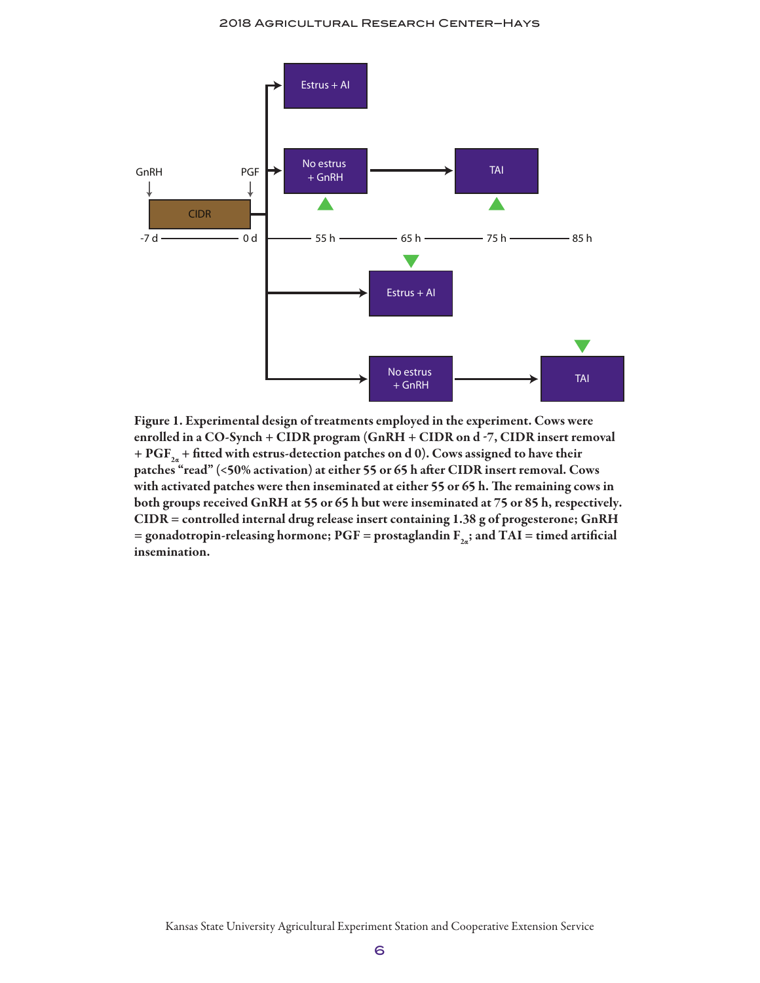

Figure 1. Experimental design of treatments employed in the experiment. Cows were enrolled in a CO-Synch + CIDR program (GnRH + CIDR on d -7, CIDR insert removal + PGF<sub>2a</sub> + fitted with estrus-detection patches on d 0). Cows assigned to have their patches "read" (<50% activation) at either 55 or 65 h after CIDR insert removal. Cows with activated patches were then inseminated at either 55 or 65 h. The remaining cows in both groups received GnRH at 55 or 65 h but were inseminated at 75 or 85 h, respectively. CIDR = controlled internal drug release insert containing 1.38 g of progesterone; GnRH = gonadotropin-releasing hormone; PGF = prostaglandin  $F_{2a}$ ; and TAI = timed artificial insemination.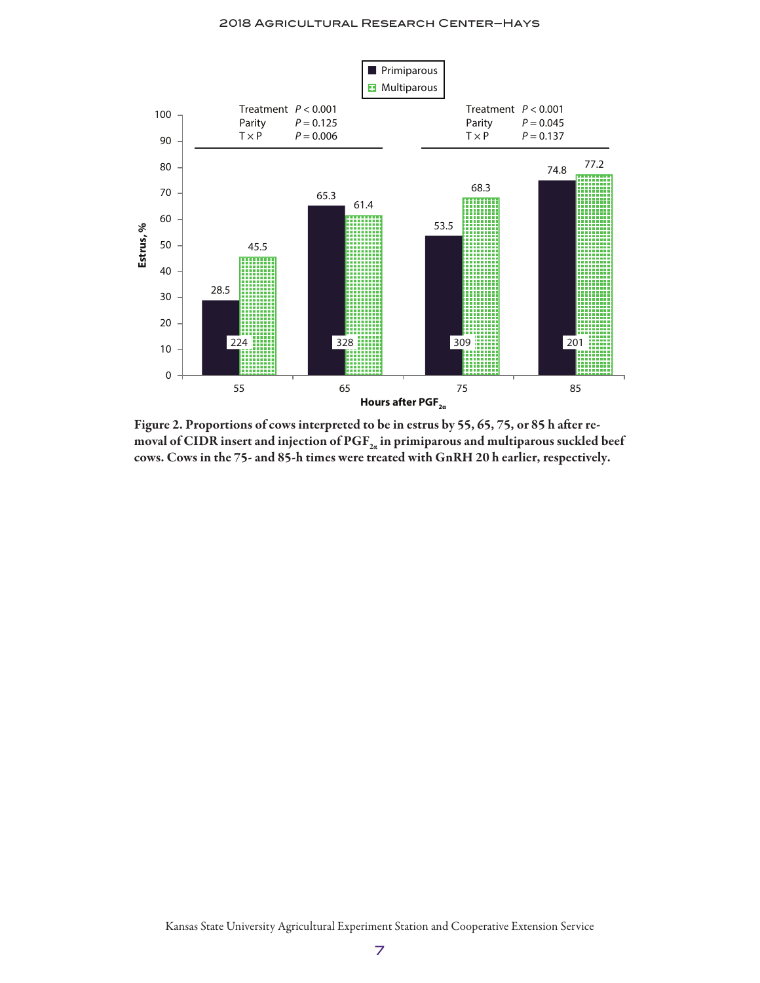

Figure 2. Proportions of cows interpreted to be in estrus by 55, 65, 75, or 85 h after removal of CIDR insert and injection of  $\mathrm{PGF}_{2a}$  in primiparous and multiparous suckled beef cows. Cows in the 75- and 85-h times were treated with GnRH 20 h earlier, respectively.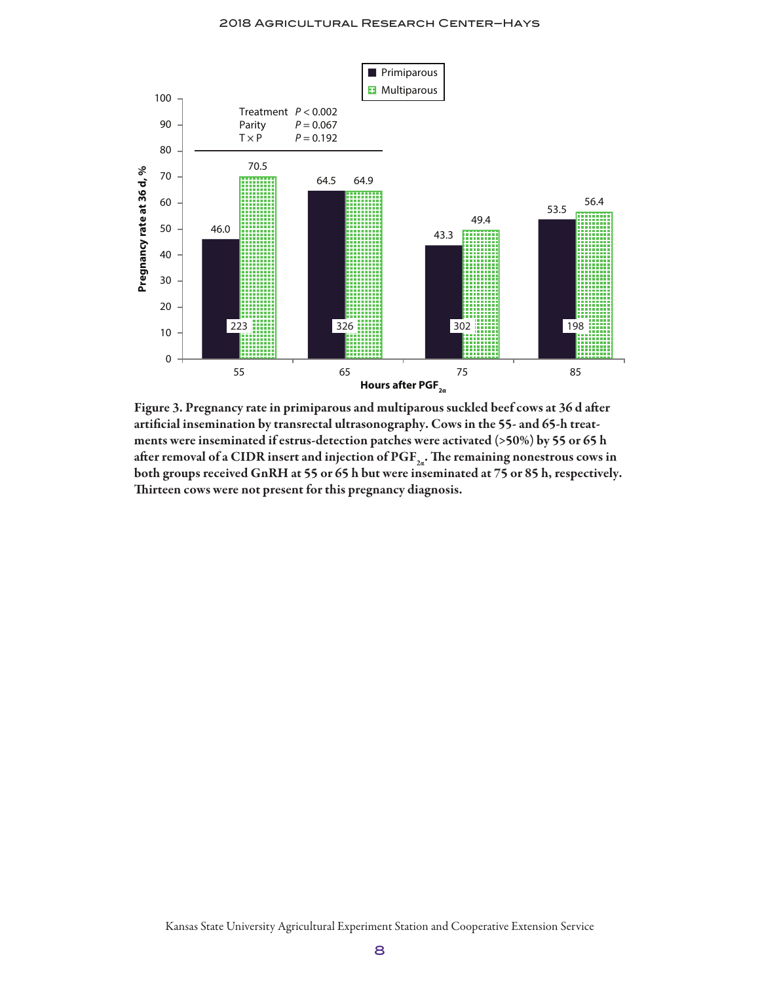

Figure 3. Pregnancy rate in primiparous and multiparous suckled beef cows at 36 d after artificial insemination by transrectal ultrasonography. Cows in the 55- and 65-h treatments were inseminated if estrus-detection patches were activated (>50%) by 55 or 65 h after removal of a CIDR insert and injection of  $PGF_{2a}$ . The remaining nonestrous cows in both groups received GnRH at 55 or 65 h but were inseminated at 75 or 85 h, respectively. Thirteen cows were not present for this pregnancy diagnosis.